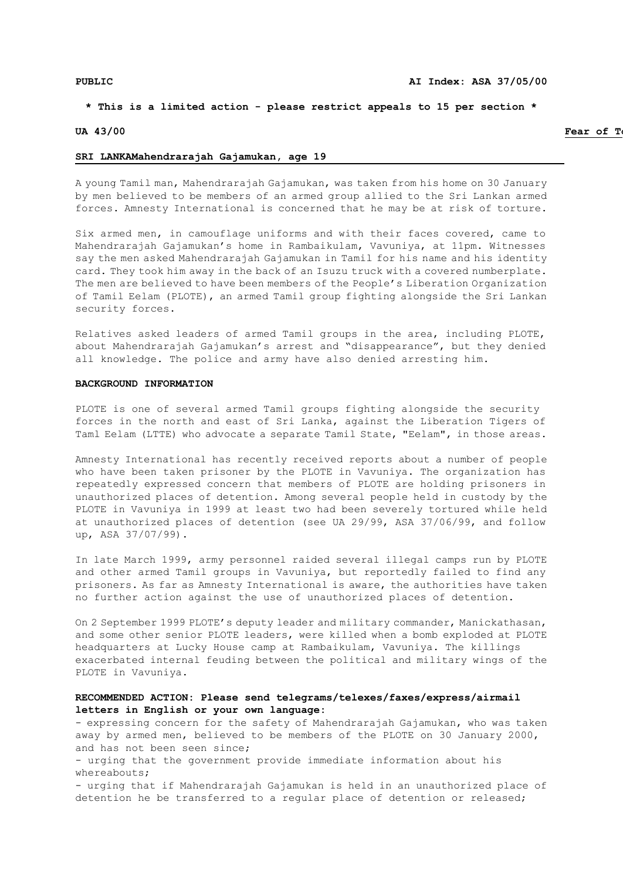# **\* This is a limited action - please restrict appeals to 15 per section \***

## **UA 43/00 Fear of Torture in the Second Line of Torture in the Second Line of Torture in the Second Line of Torture in the Second Line of Torture in the Second Line of Torture in the Second Line of Torture in the Second**

### **SRI LANKAMahendrarajah Gajamukan, age 19**

A young Tamil man, Mahendrarajah Gajamukan, was taken from his home on 30 January by men believed to be members of an armed group allied to the Sri Lankan armed forces. Amnesty International is concerned that he may be at risk of torture.

Six armed men, in camouflage uniforms and with their faces covered, came to Mahendrarajah Gajamukan's home in Rambaikulam, Vavuniya, at 11pm. Witnesses say the men asked Mahendrarajah Gajamukan in Tamil for his name and his identity card. They took him away in the back of an Isuzu truck with a covered numberplate. The men are believed to have been members of the People's Liberation Organization of Tamil Eelam (PLOTE), an armed Tamil group fighting alongside the Sri Lankan security forces.

Relatives asked leaders of armed Tamil groups in the area, including PLOTE, about Mahendrarajah Gajamukan's arrest and "disappearance", but they denied all knowledge. The police and army have also denied arresting him.

### **BACKGROUND INFORMATION**

PLOTE is one of several armed Tamil groups fighting alongside the security forces in the north and east of Sri Lanka, against the Liberation Tigers of Taml Eelam (LTTE) who advocate a separate Tamil State, "Eelam", in those areas.

Amnesty International has recently received reports about a number of people who have been taken prisoner by the PLOTE in Vavuniya. The organization has repeatedly expressed concern that members of PLOTE are holding prisoners in unauthorized places of detention. Among several people held in custody by the PLOTE in Vavuniya in 1999 at least two had been severely tortured while held at unauthorized places of detention (see UA 29/99, ASA 37/06/99, and follow up, ASA 37/07/99).

In late March 1999, army personnel raided several illegal camps run by PLOTE and other armed Tamil groups in Vavuniya, but reportedly failed to find any prisoners. As far as Amnesty International is aware, the authorities have taken no further action against the use of unauthorized places of detention.

On 2 September 1999 PLOTE's deputy leader and military commander, Manickathasan, and some other senior PLOTE leaders, were killed when a bomb exploded at PLOTE headquarters at Lucky House camp at Rambaikulam, Vavuniya. The killings exacerbated internal feuding between the political and military wings of the PLOTE in Vavuniya.

# **RECOMMENDED ACTION: Please send telegrams/telexes/faxes/express/airmail letters in English or your own language:**

- expressing concern for the safety of Mahendrarajah Gajamukan, who was taken away by armed men, believed to be members of the PLOTE on 30 January 2000, and has not been seen since;

- urging that the government provide immediate information about his whereabouts;

- urging that if Mahendrarajah Gajamukan is held in an unauthorized place of detention he be transferred to a regular place of detention or released;